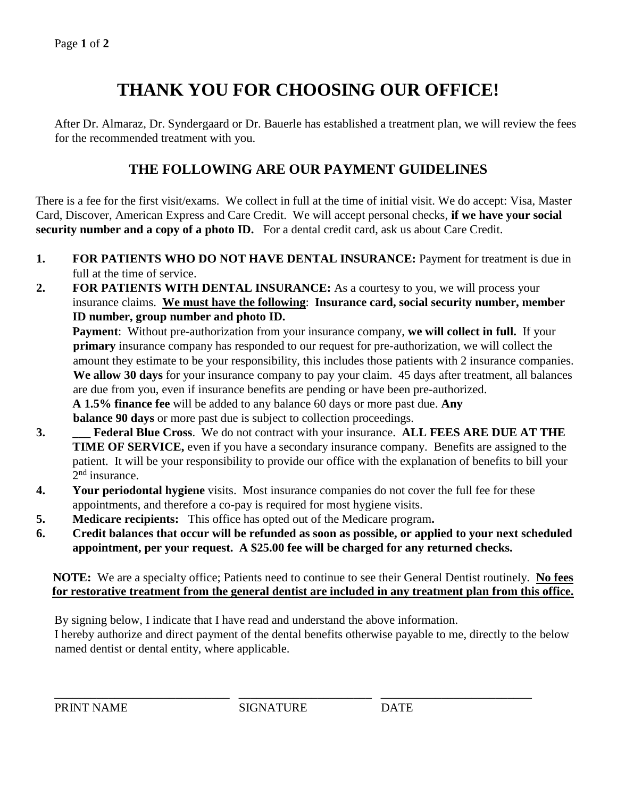## **THANK YOU FOR CHOOSING OUR OFFICE!**

After Dr. Almaraz, Dr. Syndergaard or Dr. Bauerle has established a treatment plan, we will review the fees for the recommended treatment with you.

## **THE FOLLOWING ARE OUR PAYMENT GUIDELINES**

There is a fee for the first visit/exams. We collect in full at the time of initial visit. We do accept: Visa, Master Card, Discover, American Express and Care Credit. We will accept personal checks, **if we have your social security number and a copy of a photo ID.** For a dental credit card, ask us about Care Credit.

- **1. FOR PATIENTS WHO DO NOT HAVE DENTAL INSURANCE:** Payment for treatment is due in full at the time of service.
- **2. FOR PATIENTS WITH DENTAL INSURANCE:** As a courtesy to you, we will process your insurance claims. **We must have the following**: **Insurance card, social security number, member ID number, group number and photo ID.**

**Payment**: Without pre-authorization from your insurance company, **we will collect in full.** If your **primary** insurance company has responded to our request for pre-authorization, we will collect the amount they estimate to be your responsibility, this includes those patients with 2 insurance companies. **We allow 30 days** for your insurance company to pay your claim. 45 days after treatment, all balances are due from you, even if insurance benefits are pending or have been pre-authorized. **A 1.5% finance fee** will be added to any balance 60 days or more past due. **Any balance 90 days** or more past due is subject to collection proceedings.

- **3. \_\_\_ Federal Blue Cross**. We do not contract with your insurance. **ALL FEES ARE DUE AT THE TIME OF SERVICE,** even if you have a secondary insurance company. Benefits are assigned to the patient. It will be your responsibility to provide our office with the explanation of benefits to bill your 2<sup>nd</sup> insurance.
- **4. Your periodontal hygiene** visits. Most insurance companies do not cover the full fee for these appointments, and therefore a co-pay is required for most hygiene visits.
- **5. Medicare recipients:** This office has opted out of the Medicare program**.**
- **6. Credit balances that occur will be refunded as soon as possible, or applied to your next scheduled appointment, per your request. A \$25.00 fee will be charged for any returned checks.**

**NOTE:** We are a specialty office; Patients need to continue to see their General Dentist routinely. **No fees for restorative treatment from the general dentist are included in any treatment plan from this office.**

By signing below, I indicate that I have read and understand the above information.

I hereby authorize and direct payment of the dental benefits otherwise payable to me, directly to the below named dentist or dental entity, where applicable.

\_\_\_\_\_\_\_\_\_\_\_\_\_\_\_\_\_\_\_\_\_\_\_\_\_\_\_\_\_ \_\_\_\_\_\_\_\_\_\_\_\_\_\_\_\_\_\_\_\_\_\_ \_\_\_\_\_\_\_\_\_\_\_\_\_\_\_\_\_\_\_\_\_\_\_\_\_